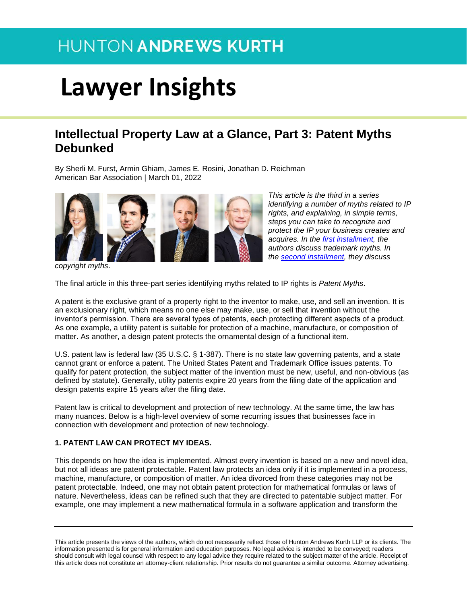# **Lawyer Insights**

### **Intellectual Property Law at a Glance, Part 3: Patent Myths Debunked**

By Sherli M. Furst, Armin Ghiam, James E. Rosini, Jonathan D. Reichman American Bar Association | March 01, 2022



*This article is the third in a series identifying a number of myths related to IP rights, and explaining, in simple terms, steps you can take to recognize and protect the IP your business creates and acquires. In the [first installment,](https://businesslawtoday.org/2022/01/trademark-myths-debunked-intellectual-property-law-at-a-glance/) the authors discuss trademark myths. In the [second installment,](https://businesslawtoday.org/2022/02/intellectual-property-law-at-a-glance-part-2-copyright-myths-debunked/) they discuss* 

*copyright myths*.

The final article in this three-part series identifying myths related to IP rights is *Patent Myths*.

A patent is the exclusive grant of a property right to the inventor to make, use, and sell an invention. It is an exclusionary right, which means no one else may make, use, or sell that invention without the inventor's permission. There are several types of patents, each protecting different aspects of a product. As one example, a utility patent is suitable for protection of a machine, manufacture, or composition of matter. As another, a design patent protects the ornamental design of a functional item.

U.S. patent law is federal law (35 U.S.C. § 1-387). There is no state law governing patents, and a state cannot grant or enforce a patent. The United States Patent and Trademark Office issues patents. To qualify for patent protection, the subject matter of the invention must be new, useful, and non-obvious (as defined by statute). Generally, utility patents expire 20 years from the filing date of the application and design patents expire 15 years after the filing date.

Patent law is critical to development and protection of new technology. At the same time, the law has many nuances. Below is a high-level overview of some recurring issues that businesses face in connection with development and protection of new technology.

#### **1. PATENT LAW CAN PROTECT MY IDEAS.**

This depends on how the idea is implemented. Almost every invention is based on a new and novel idea, but not all ideas are patent protectable. Patent law protects an idea only if it is implemented in a process, machine, manufacture, or composition of matter. An idea divorced from these categories may not be patent protectable. Indeed, one may not obtain patent protection for mathematical formulas or laws of nature. Nevertheless, ideas can be refined such that they are directed to patentable subject matter. For example, one may implement a new mathematical formula in a software application and transform the

This article presents the views of the authors, which do not necessarily reflect those of Hunton Andrews Kurth LLP or its clients. The information presented is for general information and education purposes. No legal advice is intended to be conveyed; readers should consult with legal counsel with respect to any legal advice they require related to the subject matter of the article. Receipt of this article does not constitute an attorney-client relationship. Prior results do not guarantee a similar outcome. Attorney advertising.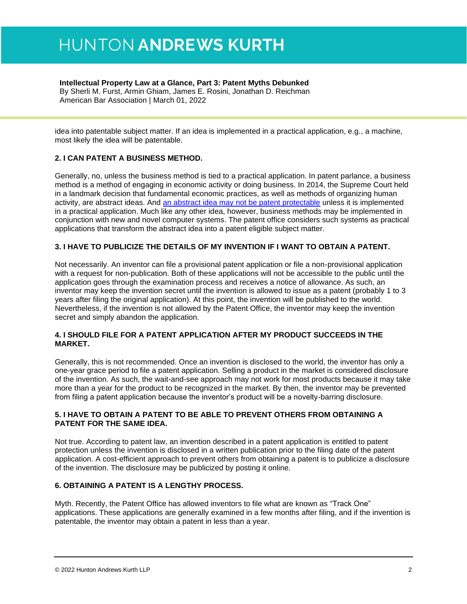#### **Intellectual Property Law at a Glance, Part 3: Patent Myths Debunked**

By Sherli M. Furst, Armin Ghiam, James E. Rosini, Jonathan D. Reichman American Bar Association | March 01, 2022

idea into patentable subject matter. If an idea is implemented in a practical application, e.g*.*, a machine, most likely the idea will be patentable.

#### **2. I CAN PATENT A BUSINESS METHOD.**

Generally, no, unless the business method is tied to a practical application. In patent parlance, a business method is a method of engaging in economic activity or doing business. In 2014, the Supreme Court held in a landmark decision that fundamental economic practices, as well as methods of organizing human activity, are abstract ideas. And [an abstract idea may not be patent protectable](https://businesslawtoday.org/2021/08/federal-circuit-affirms-invalidation-of-digital-camera-patent-as-ineligible-under-%C2%A7-101/) unless it is implemented in a practical application. Much like any other idea, however, business methods may be implemented in conjunction with new and novel computer systems. The patent office considers such systems as practical applications that transform the abstract idea into a patent eligible subject matter.

#### **3. I HAVE TO PUBLICIZE THE DETAILS OF MY INVENTION IF I WANT TO OBTAIN A PATENT.**

Not necessarily. An inventor can file a provisional patent application or file a non-provisional application with a request for non-publication. Both of these applications will not be accessible to the public until the application goes through the examination process and receives a notice of allowance. As such, an inventor may keep the invention secret until the invention is allowed to issue as a patent (probably 1 to 3 years after filing the original application). At this point, the invention will be published to the world. Nevertheless, if the invention is not allowed by the Patent Office, the inventor may keep the invention secret and simply abandon the application.

#### **4. I SHOULD FILE FOR A PATENT APPLICATION AFTER MY PRODUCT SUCCEEDS IN THE MARKET.**

Generally, this is not recommended. Once an invention is disclosed to the world, the inventor has only a one-year grace period to file a patent application. Selling a product in the market is considered disclosure of the invention. As such, the wait-and-see approach may not work for most products because it may take more than a year for the product to be recognized in the market. By then, the inventor may be prevented from filing a patent application because the inventor's product will be a novelty-barring disclosure.

#### **5. I HAVE TO OBTAIN A PATENT TO BE ABLE TO PREVENT OTHERS FROM OBTAINING A PATENT FOR THE SAME IDEA.**

Not true. According to patent law, an invention described in a patent application is entitled to patent protection unless the invention is disclosed in a written publication prior to the filing date of the patent application. A cost-efficient approach to prevent others from obtaining a patent is to publicize a disclosure of the invention. The disclosure may be publicized by posting it online.

#### **6. OBTAINING A PATENT IS A LENGTHY PROCESS.**

Myth. Recently, the Patent Office has allowed inventors to file what are known as "Track One" applications. These applications are generally examined in a few months after filing, and if the invention is patentable, the inventor may obtain a patent in less than a year.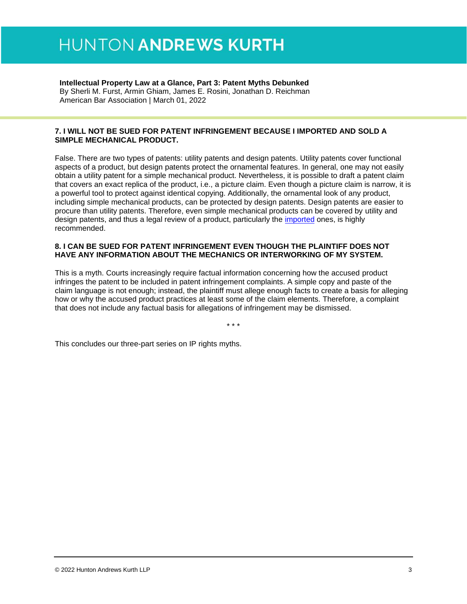#### **Intellectual Property Law at a Glance, Part 3: Patent Myths Debunked**

By Sherli M. Furst, Armin Ghiam, James E. Rosini, Jonathan D. Reichman American Bar Association | March 01, 2022

#### **7. I WILL NOT BE SUED FOR PATENT INFRINGEMENT BECAUSE I IMPORTED AND SOLD A SIMPLE MECHANICAL PRODUCT.**

False. There are two types of patents: utility patents and design patents. Utility patents cover functional aspects of a product, but design patents protect the ornamental features. In general, one may not easily obtain a utility patent for a simple mechanical product. Nevertheless, it is possible to draft a patent claim that covers an exact replica of the product, i.e., a picture claim. Even though a picture claim is narrow, it is a powerful tool to protect against identical copying. Additionally, the ornamental look of any product, including simple mechanical products, can be protected by design patents. Design patents are easier to procure than utility patents. Therefore, even simple mechanical products can be covered by utility and design patents, and thus a legal review of a product, particularly the [imported](https://businesslawtoday.org/2019/07/globalization-u-s-patent-law-companies-may-risk-infringement-even-without-significant-u-s-presence/) ones, is highly recommended.

#### **8. I CAN BE SUED FOR PATENT INFRINGEMENT EVEN THOUGH THE PLAINTIFF DOES NOT HAVE ANY INFORMATION ABOUT THE MECHANICS OR INTERWORKING OF MY SYSTEM.**

This is a myth. Courts increasingly require factual information concerning how the accused product infringes the patent to be included in patent infringement complaints. A simple copy and paste of the claim language is not enough; instead, the plaintiff must allege enough facts to create a basis for alleging how or why the accused product practices at least some of the claim elements. Therefore, a complaint that does not include any factual basis for allegations of infringement may be dismissed.

\* \* \*

This concludes our three-part series on IP rights myths.